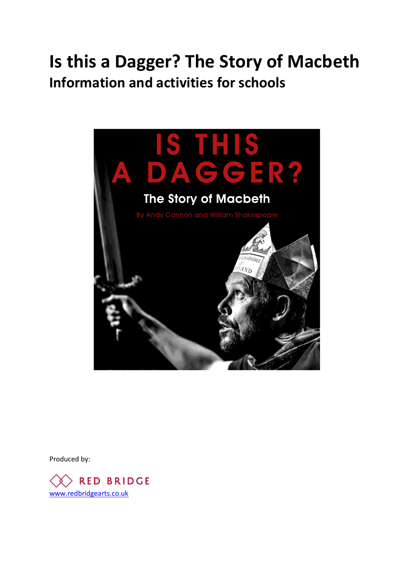# **Is this a Dagger? The Story of Macbeth Information and activities for schools**



Produced by:

 $\langle \rangle$  RED BRIDGE [www.redbridgearts.co.uk](http://www.redbridgearts.co.uk/)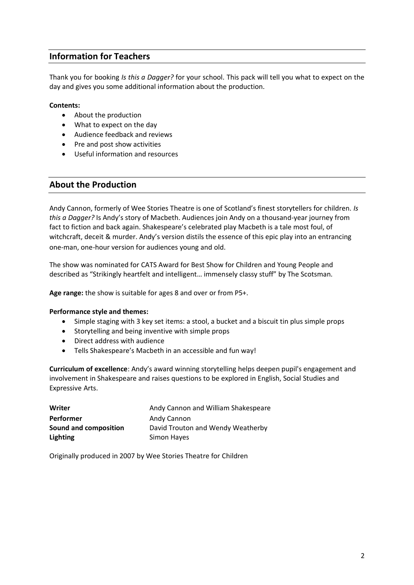# **Information for Teachers**

Thank you for booking *Is this a Dagger?* for your school. This pack will tell you what to expect on the day and gives you some additional information about the production.

### **Contents:**

- About the production
- What to expect on the day
- Audience feedback and reviews
- Pre and post show activities
- Useful information and resources

## **About the Production**

Andy Cannon, formerly of Wee Stories Theatre is one of Scotland's finest storytellers for children. *Is this a Dagger?* Is Andy's story of Macbeth. Audiences join Andy on a thousand-year journey from fact to fiction and back again. Shakespeare's celebrated play Macbeth is a tale most foul, of witchcraft, deceit & murder. Andy's version distils the essence of this epic play into an entrancing one-man, one-hour version for audiences young and old.

The show was nominated for CATS Award for Best Show for Children and Young People and described as "Strikingly heartfelt and intelligent… immensely classy stuff" by The Scotsman.

**Age range:** the show is suitable for ages 8 and over or from P5+.

#### **Performance style and themes:**

- Simple staging with 3 key set items: a stool, a bucket and a biscuit tin plus simple props
- Storytelling and being inventive with simple props
- Direct address with audience
- Tells Shakespeare's Macbeth in an accessible and fun way!

**Curriculum of excellence**: Andy's award winning storytelling helps deepen pupil's engagement and involvement in Shakespeare and raises questions to be explored in English, Social Studies and Expressive Arts.

| Writer                | Andy Cannon and William Shakespeare |
|-----------------------|-------------------------------------|
| <b>Performer</b>      | Andy Cannon                         |
| Sound and composition | David Trouton and Wendy Weatherby   |
| <b>Lighting</b>       | Simon Hayes                         |

Originally produced in 2007 by Wee Stories Theatre for Children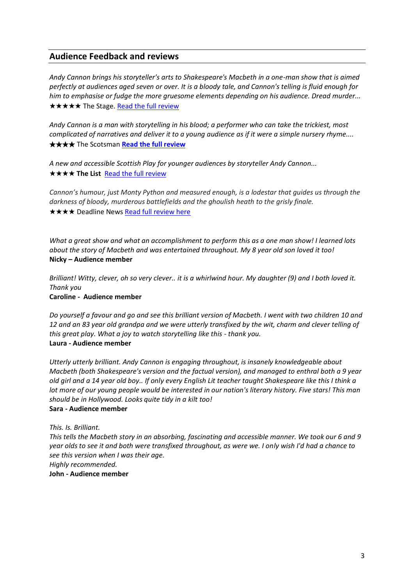# **Audience Feedback and reviews**

*Andy Cannon brings his storyteller's arts to Shakespeare's Macbeth in a one-man show that is aimed perfectly at audiences aged seven or over. It is a bloody tale, and Cannon's telling is fluid enough for him to emphasise or fudge the more gruesome elements depending on his audience. Dread murder...* ★★★★★ The Stage[. Read the full review](https://www.thestage.co.uk/reviews/2017/is-this-a-dagger-the-story-of-macbeth-review-at-scottish-storytelling-centre-inventive-and-clever/)

*Andy Cannon is a man with storytelling in his blood; a performer who can take the trickiest, most complicated of narratives and deliver it to a young audience as if it were a simple nursery rhyme....* ★★★★ The Scotsman **[Read the full review](http://www.scotsman.com/lifestyle/children-s-show-review-is-this-a-dagger-the-story-of-macbeth-1-4525461)**

*A new and accessible Scottish Play for younger audiences by storyteller Andy Cannon...* ★★★★ **The List** [Read the full review](http://edinburghfestival.list.co.uk/article/93871-is-this-a-dagger-the-story-of-macbeth/)

*Cannon's humour, just Monty Python and measured enough, is a lodestar that guides us through the darkness of bloody, murderous battlefields and the ghoulish heath to the grisly finale.* **★★★★** Deadline News [Read full review here](http://www.deadlinenews.co.uk/2017/08/09/review-cannon-fires-off-version-scottish-play-thats-part-soap-part-surreal-scary/)

*What a great show and what an accomplishment to perform this as a one man show! I learned lots about the story of Macbeth and was entertained throughout. My 8 year old son loved it too!* **Nicky – Audience member**

*Brilliant! Witty, clever, oh so very clever.. it is a whirlwind hour. My daughter (9) and I both loved it. Thank you*

**[Caroline -](https://tickets.edfringe.com/reviews/report/19091) Audience member**

*Do yourself a favour and go and see this brilliant version of Macbeth. I went with two children 10 and 12 and an 83 year old grandpa and we were utterly transfixed by the wit, charm and clever telling of this great play. What a joy to watch storytelling like this - thank you.* **Laura - [Audience member](https://tickets.edfringe.com/reviews/report/2264)** 

*Utterly utterly brilliant. Andy Cannon is engaging throughout, is insanely knowledgeable about Macbeth (both Shakespeare's version and the factual version), and managed to enthral both a 9 year old girl and a 14 year old boy.. If only every English Lit teacher taught Shakespeare like this I think a lot more of our young people would be interested in our nation's literary history. Five stars! This man should be in Hollywood. Looks quite tidy in a kilt too!* **Sara - [Audience member](https://tickets.edfringe.com/reviews/report/2064)** 

*This. Is. Brilliant.*

*This tells the Macbeth story in an absorbing, fascinating and accessible manner. We took our 6 and 9 year olds to see it and both were transfixed throughout, as were we. I only wish I'd had a chance to see this version when I was their age.*

*Highly recommended.*

**John - Audience member**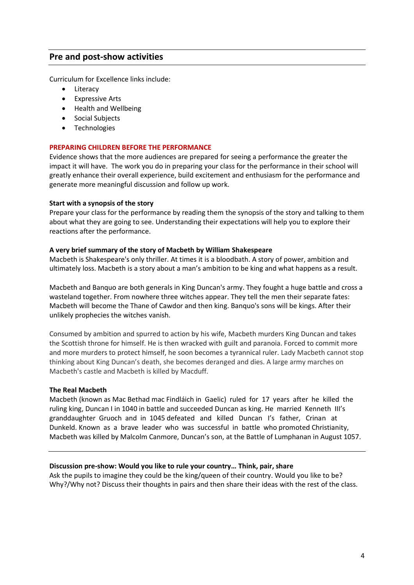# **Pre and post-show activities**

Curriculum for Excellence links include:

- Literacy
- Expressive Arts
- Health and Wellbeing
- Social Subjects
- Technologies

#### **PREPARING CHILDREN BEFORE THE PERFORMANCE**

Evidence shows that the more audiences are prepared for seeing a performance the greater the impact it will have. The work you do in preparing your class for the performance in their school will greatly enhance their overall experience, build excitement and enthusiasm for the performance and generate more meaningful discussion and follow up work.

#### **Start with a synopsis of the story**

Prepare your class for the performance by reading them the synopsis of the story and talking to them about what they are going to see. Understanding their expectations will help you to explore their reactions after the performance.

#### **A very brief summary of the story of Macbeth by William Shakespeare**

Macbeth is Shakespeare's only thriller. At times it is a bloodbath. A story of power, ambition and ultimately loss. Macbeth is a story about a man's ambition to be king and what happens as a result.

Macbeth and Banquo are both generals in King Duncan's army. They fought a huge battle and cross a wasteland together. From nowhere three witches appear. They tell the men their separate fates: Macbeth will become the Thane of Cawdor and then king. Banquo's sons will be kings. After their unlikely prophecies the witches vanish.

Consumed by ambition and spurred to action by his wife, Macbeth murders King Duncan and takes the Scottish throne for himself. He is then wracked with guilt and paranoia. Forced to commit more and more murders to protect himself, he soon becomes a tyrannical ruler. Lady Macbeth cannot stop thinking about King Duncan's death, she becomes deranged and dies. A large army marches on Macbeth's castle and Macbeth is killed by Macduff.

#### **The Real Macbeth**

Macbeth (known as Mac Bethad mac Findláich in Gaelic) ruled for 17 years after he killed the ruling king, Duncan I in 1040 in battle and succeeded Duncan as king. He married Kenneth III's granddaughter Gruoch and in 1045 defeated and killed Duncan I's father, Crinan at Dunkeld. Known as a brave leader who was successful in battle who promoted Christianity, Macbeth was killed by Malcolm Canmore, Duncan's son, at the Battle of Lumphanan in August 1057.

#### **Discussion pre-show: Would you like to rule your country… Think, pair, share**

Ask the pupils to imagine they could be the king/queen of their country. Would you like to be? Why?/Why not? Discuss their thoughts in pairs and then share their ideas with the rest of the class.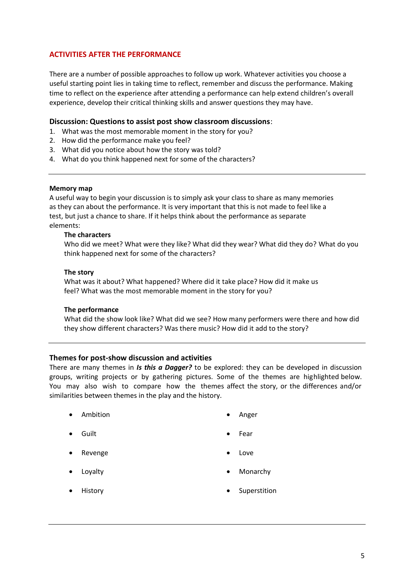## **ACTIVITIES AFTER THE PERFORMANCE**

There are a number of possible approaches to follow up work. Whatever activities you choose a useful starting point lies in taking time to reflect, remember and discuss the performance. Making time to reflect on the experience after attending a performance can help extend children's overall experience, develop their critical thinking skills and answer questions they may have.

#### **Discussion: Questions to assist post show classroom discussions**:

- 1. What was the most memorable moment in the story for you?
- 2. How did the performance make you feel?
- 3. What did you notice about how the story was told?
- 4. What do you think happened next for some of the characters?

#### **Memory map**

A useful way to begin your discussion is to simply ask your class to share as many memories as they can about the performance. It is very important that this is not made to feel like a test, but just a chance to share. If it helps think about the performance as separate elements:

#### **The characters**

Who did we meet? What were they like? What did they wear? What did they do? What do you think happened next for some of the characters?

#### **The story**

What was it about? What happened? Where did it take place? How did it make us feel? What was the most memorable moment in the story for you?

#### **The performance**

What did the show look like? What did we see? How many performers were there and how did they show different characters? Was there music? How did it add to the story?

#### **Themes for post-show discussion and activities**

There are many themes in *Is this a Dagger?* to be explored: they can be developed in discussion groups, writing projects or by gathering pictures. Some of the themes are highlighted below. You may also wish to compare how the themes affect the story, or the differences and/or similarities between themes in the play and the history.

- Ambition Anger
- Guilt Fear
- Revenge **by a strategie of the strategie of the contract of the contract of the contract of the contract of the contract of the contract of the contract of the contract of the contract of the contract of the contract of th**
- 
- 
- 
- 
- Loyalty **Contract Contract Contract Contract Contract Contract Contract Contract Contract Contract Contract Contract Contract Contract Contract Contract Contract Contract Contract Contract Contract Contract Contract Contra**
- 
- History Superstition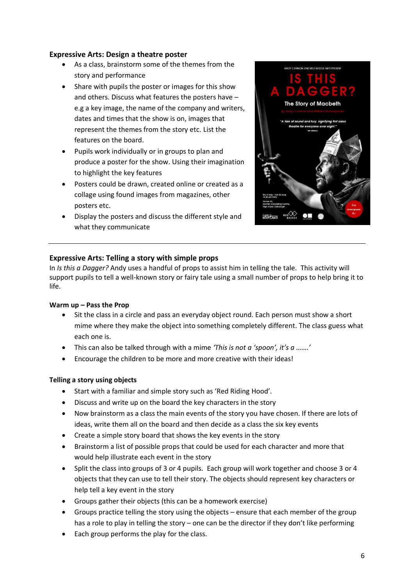## **Expressive Arts: Design a theatre poster**

- As a class, brainstorm some of the themes from the story and performance
- Share with pupils the poster or images for this show and others. Discuss what features the posters have – e.g a key image, the name of the company and writers, dates and times that the show is on, images that represent the themes from the story etc. List the features on the board.
- Pupils work individually or in groups to plan and produce a poster for the show. Using their imagination to highlight the key features
- Posters could be drawn, created online or created as a collage using found images from magazines, other posters etc.
- Display the posters and discuss the different style and what they communicate



# **Expressive Arts: Telling a story with simple props**

In *Is this a Dagger?* Andy uses a handful of props to assist him in telling the tale. This activity will support pupils to tell a well-known story or fairy tale using a small number of props to help bring it to life.

## **Warm up – Pass the Prop**

- Sit the class in a circle and pass an everyday object round. Each person must show a short mime where they make the object into something completely different. The class guess what each one is.
- This can also be talked through with a mime *'This is not a 'spoon', it's a …….'*
- Encourage the children to be more and more creative with their ideas!

## **Telling a story using objects**

- Start with a familiar and simple story such as 'Red Riding Hood'.
- Discuss and write up on the board the key characters in the story
- Now brainstorm as a class the main events of the story you have chosen. If there are lots of ideas, write them all on the board and then decide as a class the six key events
- Create a simple story board that shows the key events in the story
- Brainstorm a list of possible props that could be used for each character and more that would help illustrate each event in the story
- Split the class into groups of 3 or 4 pupils. Each group will work together and choose 3 or 4 objects that they can use to tell their story. The objects should represent key characters or help tell a key event in the story
- Groups gather their objects (this can be a homework exercise)
- Groups practice telling the story using the objects ensure that each member of the group has a role to play in telling the story – one can be the director if they don't like performing
- Each group performs the play for the class.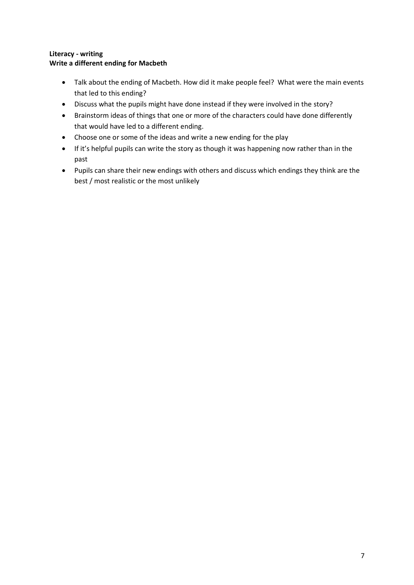## **Literacy - writing Write a different ending for Macbeth**

- Talk about the ending of Macbeth. How did it make people feel? What were the main events that led to this ending?
- Discuss what the pupils might have done instead if they were involved in the story?
- Brainstorm ideas of things that one or more of the characters could have done differently that would have led to a different ending.
- Choose one or some of the ideas and write a new ending for the play
- If it's helpful pupils can write the story as though it was happening now rather than in the past
- Pupils can share their new endings with others and discuss which endings they think are the best / most realistic or the most unlikely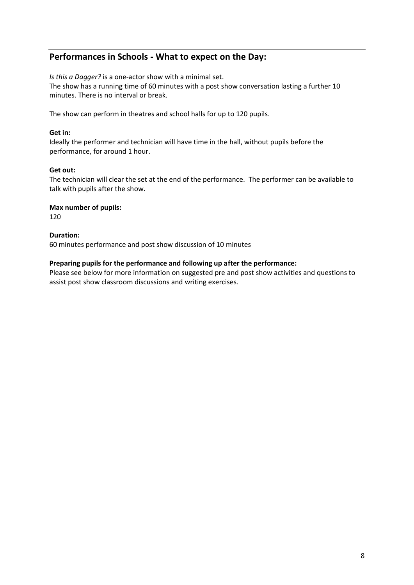# **Performances in Schools - What to expect on the Day:**

*Is this a Dagger?* is a one-actor show with a minimal set. The show has a running time of 60 minutes with a post show conversation lasting a further 10 minutes. There is no interval or break.

The show can perform in theatres and school halls for up to 120 pupils.

## **Get in:**

Ideally the performer and technician will have time in the hall, without pupils before the performance, for around 1 hour.

### **Get out:**

The technician will clear the set at the end of the performance. The performer can be available to talk with pupils after the show.

### **Max number of pupils:**

120

### **Duration:**

60 minutes performance and post show discussion of 10 minutes

### **Preparing pupils for the performance and following up after the performance:**

Please see below for more information on suggested pre and post show activities and questions to assist post show classroom discussions and writing exercises.